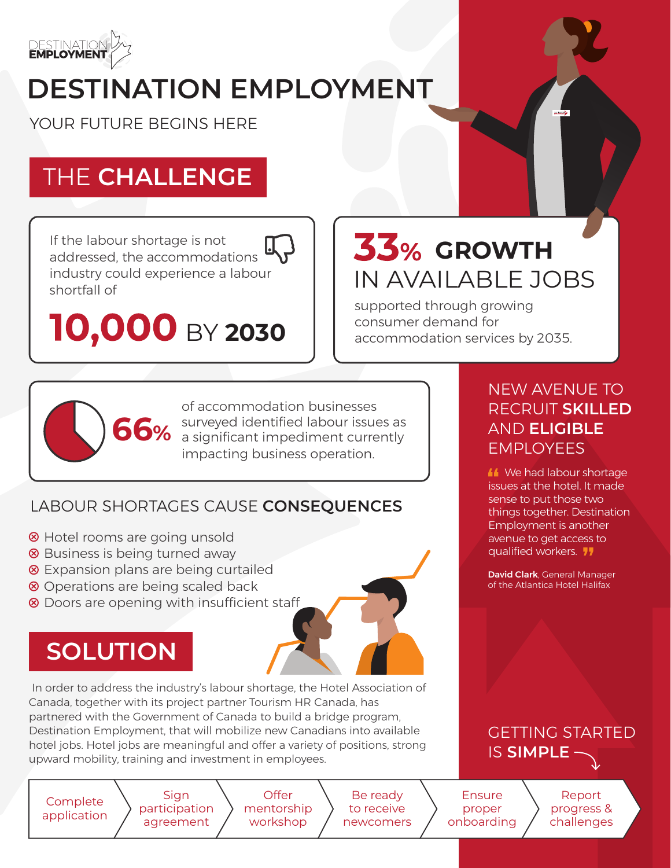

# **DESTINATION EMPLOYMENT**

YOUR FUTURE BEGINS HERE

# THE **CHALLENGE**

If the labour shortage is not addressed, the accommodations industry could experience a labour shortfall of

**10,000 BY 2030** 

# $33%$  GROWTH IN AVAILABLE JOBS

supported through growing consumer demand for accommodation services by 2035.



of accommodation businesses surveyed identified labour issues as a significant impediment currently impacting business operation.

### LABOUR SHORTAGES CAUSE **CONSEQUENCES**

- **8** Hotel rooms are going unsold
- <sup>⊗</sup> Business is being turned away
- **8** Expansion plans are being curtailed
- <sup>8</sup> Operations are being scaled back
- **<sup>⊗</sup>** Doors are opening with insufficient staff

# **SOLUTION**

 In order to address the industry's labour shortage, the Hotel Association of Canada, together with its project partner Tourism HR Canada, has partnered with the Government of Canada to build a bridge program, Destination Employment, that will mobilize new Canadians into available hotel jobs. Hotel jobs are meaningful and offer a variety of positions, strong upward mobility, training and investment in employees.

Complete application

Sign participation agreement

**Offer** mentorship workshop

Be ready Be ready to receive to receive newcomers

Ensure proper onboarding

Report progress & challenges

### NEW AVENUE TO RECRUIT **SKILLED**  AND **ELIGIBLE**  EMPLOYEES

**M** We had labour shortage issues at the hotel. It made sense to put those two things together. Destination Employment is another avenue to get access to qualified workers. **11** 

David Clark, General Manager of the Atlantica Hotel Halifax

### GETTING STARTED IS **SIMPLE**